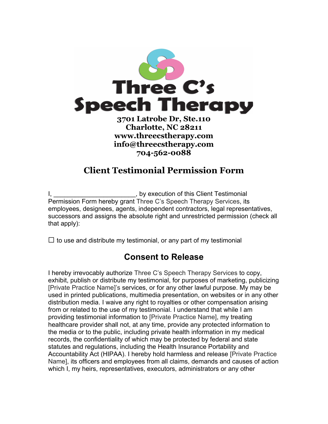

## **Charlotte, NC 28211 www.threecstherapy.com info@threecstherapy.com 704-562-0088**

## **Client Testimonial Permission Form**

I, \_\_\_\_\_\_\_\_\_\_\_\_\_\_\_\_\_\_\_\_\_\_\_\_\_, by execution of this Client Testimonial Permission Form hereby grant Three C's Speech Therapy Services, its employees, designees, agents, independent contractors, legal representatives, successors and assigns the absolute right and unrestricted permission (check all that apply):

 $\Box$  to use and distribute my testimonial, or any part of my testimonial

## **Consent to Release**

I hereby irrevocably authorize Three C's Speech Therapy Services to copy, exhibit, publish or distribute my testimonial, for purposes of marketing, publicizing [Private Practice Name]'s services, or for any other lawful purpose. My may be used in printed publications, multimedia presentation, on websites or in any other distribution media. I waive any right to royalties or other compensation arising from or related to the use of my testimonial. I understand that while I am providing testimonial information to [Private Practice Name], my treating healthcare provider shall not, at any time, provide any protected information to the media or to the public, including private health information in my medical records, the confidentiality of which may be protected by federal and state statutes and regulations, including the Health Insurance Portability and Accountability Act (HIPAA). I hereby hold harmless and release [Private Practice Name], its officers and employees from all claims, demands and causes of action which I, my heirs, representatives, executors, administrators or any other